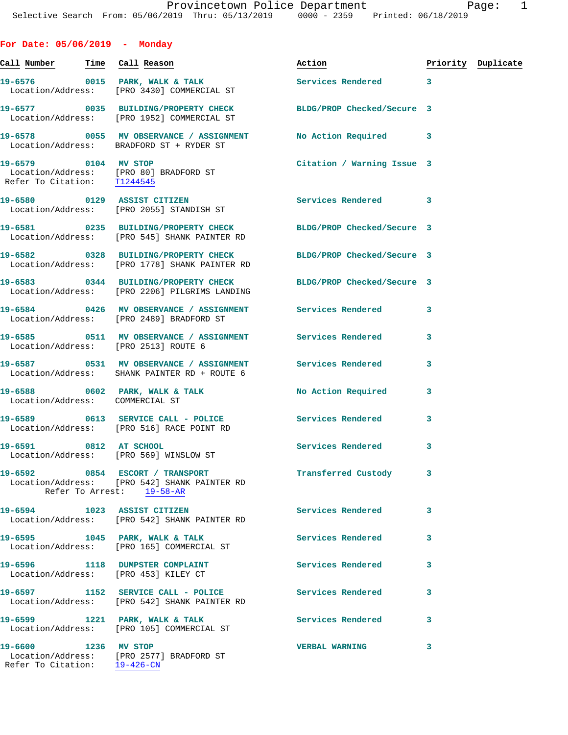| For Date: $05/06/2019$ - Monday                      |                                                                                                                  |                            |   |                    |
|------------------------------------------------------|------------------------------------------------------------------------------------------------------------------|----------------------------|---|--------------------|
| <u>Call Number — Time Call Reason</u>                |                                                                                                                  | Action                     |   | Priority Duplicate |
|                                                      | 19-6576 0015 PARK, WALK & TALK<br>Location/Address: [PRO 3430] COMMERCIAL ST                                     | Services Rendered 3        |   |                    |
|                                                      | 19-6577 0035 BUILDING/PROPERTY CHECK BLDG/PROP Checked/Secure 3<br>Location/Address: [PRO 1952] COMMERCIAL ST    |                            |   |                    |
|                                                      | 19-6578 0055 MV OBSERVANCE / ASSIGNMENT<br>Location/Address: BRADFORD ST + RYDER ST                              | No Action Required 3       |   |                    |
|                                                      | 19-6579 0104 MV STOP<br>Location/Address: [PRO 80] BRADFORD ST<br>Refer To Citation: $\frac{T1244545}{12244545}$ | Citation / Warning Issue 3 |   |                    |
|                                                      | 19-6580 0129 ASSIST CITIZEN<br>Location/Address: [PRO 2055] STANDISH ST                                          | <b>Services Rendered</b>   | 3 |                    |
|                                                      | 19-6581 0235 BUILDING/PROPERTY CHECK<br>Location/Address: [PRO 545] SHANK PAINTER RD                             | BLDG/PROP Checked/Secure 3 |   |                    |
|                                                      | 19-6582 0328 BUILDING/PROPERTY CHECK<br>Location/Address: [PRO 1778] SHANK PAINTER RD                            | BLDG/PROP Checked/Secure 3 |   |                    |
|                                                      | 19-6583 0344 BUILDING/PROPERTY CHECK BLDG/PROP Checked/Secure 3<br>Location/Address: [PRO 2206] PILGRIMS LANDING |                            |   |                    |
|                                                      | 19-6584 0426 MV OBSERVANCE / ASSIGNMENT Services Rendered<br>Location/Address: [PRO 2489] BRADFORD ST            |                            | 3 |                    |
|                                                      | 19-6585 0511 MV OBSERVANCE / ASSIGNMENT Services Rendered<br>Location/Address: [PRO 2513] ROUTE 6                |                            | 3 |                    |
|                                                      | 19-6587 		 0531 MV OBSERVANCE / ASSIGNMENT Services Rendered<br>Location/Address: SHANK PAINTER RD + ROUTE 6     |                            | 3 |                    |
| Location/Address: COMMERCIAL ST                      | 19-6588 0602 PARK, WALK & TALK                                                                                   | <b>No Action Required</b>  | 3 |                    |
|                                                      | 19-6589 0613 SERVICE CALL - POLICE 3 Services Rendered<br>Location/Address: [PRO 516] RACE POINT RD              |                            | 3 |                    |
| 19-6591 0812 AT SCHOOL                               | Location/Address: [PRO 569] WINSLOW ST                                                                           | Services Rendered          | 3 |                    |
|                                                      | 19-6592 0854 ESCORT / TRANSPORT<br>Location/Address: [PRO 542] SHANK PAINTER RD<br>Refer To Arrest: 19-58-AR     | Transferred Custody        | 3 |                    |
|                                                      | 19-6594 1023 ASSIST CITIZEN<br>Location/Address: [PRO 542] SHANK PAINTER RD                                      | <b>Services Rendered</b>   | 3 |                    |
|                                                      | 19-6595 1045 PARK, WALK & TALK<br>Location/Address: [PRO 165] COMMERCIAL ST                                      | <b>Services Rendered</b>   | 3 |                    |
|                                                      | 19-6596 1118 DUMPSTER COMPLAINT Services Rendered<br>Location/Address: [PRO 453] KILEY CT                        |                            | 3 |                    |
|                                                      | 19-6597 1152 SERVICE CALL - POLICE Services Rendered<br>Location/Address: [PRO 542] SHANK PAINTER RD             |                            | 3 |                    |
|                                                      | 19-6599 1221 PARK, WALK & TALK 1999 Services Rendered<br>Location/Address: [PRO 105] COMMERCIAL ST               |                            | 3 |                    |
| 19-6600 1236 MV STOP<br>Refer To Citation: 19-426-CN | Location/Address: [PRO 2577] BRADFORD ST                                                                         | <b>VERBAL WARNING</b>      | 3 |                    |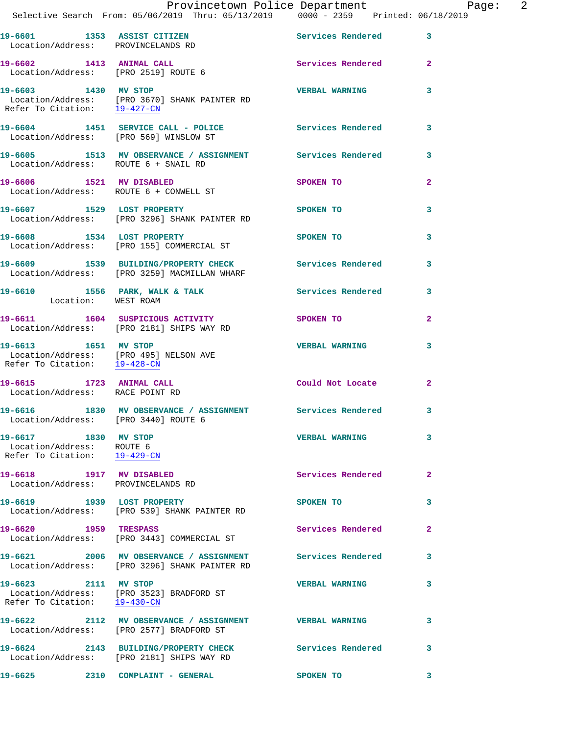| 19-0001 1353 ASSIST CITIZEN<br>Location/Address: PROVINCELANDS RD                                                  |                                                                                                            | services kendered        |                |
|--------------------------------------------------------------------------------------------------------------------|------------------------------------------------------------------------------------------------------------|--------------------------|----------------|
| 19-6602 1413 ANIMAL CALL<br>Location/Address: [PRO 2519] ROUTE 6                                                   |                                                                                                            | Services Rendered        | $\overline{2}$ |
| 19-6603 1430 MV STOP<br>Refer To Citation: 19-427-CN                                                               | Location/Address: [PRO 3670] SHANK PAINTER RD                                                              | <b>VERBAL WARNING</b>    | 3              |
| Location/Address: [PRO 569] WINSLOW ST                                                                             | 19-6604 1451 SERVICE CALL - POLICE Services Rendered                                                       |                          | 3              |
| Location/Address: ROUTE 6 + SNAIL RD                                                                               | 19-6605 1513 MV OBSERVANCE / ASSIGNMENT Services Rendered 3                                                |                          |                |
|                                                                                                                    | 19-6606 1521 MV DISABLED<br>Location/Address: ROUTE 6 + CONWELL ST                                         | SPOKEN TO                | $\mathbf{2}$   |
| 19-6607 1529 LOST PROPERTY                                                                                         | Location/Address: [PRO 3296] SHANK PAINTER RD                                                              | SPOKEN TO                | 3              |
|                                                                                                                    | 19-6608 1534 LOST PROPERTY<br>Location/Address: [PRO 155] COMMERCIAL ST                                    | SPOKEN TO                | 3              |
|                                                                                                                    | 19-6609 1539 BUILDING/PROPERTY CHECK<br>Location/Address: [PRO 3259] MACMILLAN WHARF                       | <b>Services Rendered</b> | 3              |
| Location: WEST ROAM                                                                                                | 19-6610 1556 PARK, WALK & TALK                                                                             | <b>Services Rendered</b> | 3              |
|                                                                                                                    | 19-6611 1604 SUSPICIOUS ACTIVITY<br>Location/Address: [PRO 2181] SHIPS WAY RD                              | SPOKEN TO                | $\mathbf{2}$   |
| 19-6613 1651 MV STOP<br>Location/Address: [PRO 495] NELSON AVE<br>Refer To Citation: $\frac{19-428-CN}{19-428-CN}$ |                                                                                                            | <b>VERBAL WARNING</b>    | 3              |
| 19-6615 1723 ANIMAL CALL<br>Location/Address: RACE POINT RD                                                        |                                                                                                            | Could Not Locate         | $\mathbf{2}$   |
| Location/Address: [PRO 3440] ROUTE 6                                                                               | 19-6616 1830 MV OBSERVANCE / ASSIGNMENT Services Rendered 3                                                |                          |                |
| 19-6617 1830 MV STOP<br>Location/Address: ROUTE 6<br>Refer To Citation: 19-429-CN                                  |                                                                                                            | <b>VERBAL WARNING</b>    | 3              |
| 19-6618 1917 MV DISABLED<br>Location/Address: PROVINCELANDS RD                                                     |                                                                                                            | Services Rendered        | $\mathbf{2}$   |
| 19-6619 1939 LOST PROPERTY                                                                                         | Location/Address: [PRO 539] SHANK PAINTER RD                                                               | SPOKEN TO                | 3              |
| 19-6620 1959 TRESPASS                                                                                              | Location/Address: [PRO 3443] COMMERCIAL ST                                                                 | Services Rendered        | $\mathbf{2}$   |
|                                                                                                                    | 19-6621 2006 MV OBSERVANCE / ASSIGNMENT Services Rendered<br>Location/Address: [PRO 3296] SHANK PAINTER RD |                          | 3              |
| 19-6623 2111 MV STOP                                                                                               | Location/Address: [PRO 3523] BRADFORD ST<br>Refer To Citation: 19-430-CN                                   | <b>VERBAL WARNING</b>    | 3              |
|                                                                                                                    | 19-6622 2112 MV OBSERVANCE / ASSIGNMENT VERBAL WARNING<br>Location/Address: [PRO 2577] BRADFORD ST         |                          | 3              |
|                                                                                                                    | 19-6624 2143 BUILDING/PROPERTY CHECK<br>Location/Address: [PRO 2181] SHIPS WAY RD                          | Services Rendered        | 3              |
| 19-6625                                                                                                            | 2310 COMPLAINT - GENERAL                                                                                   | <b>SPOKEN TO</b>         | 3              |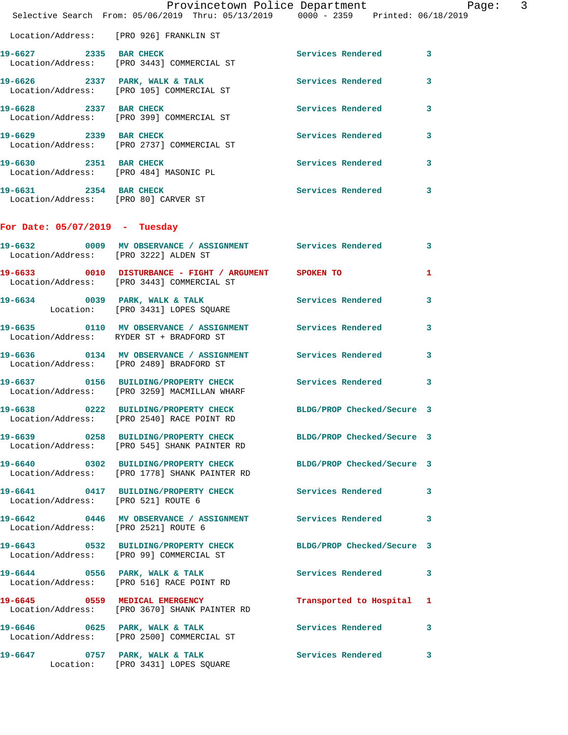|                                                                | Provincetown Police Department Page: 3<br>Selective Search From: 05/06/2019 Thru: 05/13/2019   0000 - 2359   Printed: 06/18/2019 |                           |              |
|----------------------------------------------------------------|----------------------------------------------------------------------------------------------------------------------------------|---------------------------|--------------|
|                                                                | Location/Address: [PRO 926] FRANKLIN ST                                                                                          |                           |              |
| 19-6627 2335 BAR CHECK                                         | Location/Address: [PRO 3443] COMMERCIAL ST                                                                                       | Services Rendered 3       |              |
|                                                                | 19-6626 2337 PARK, WALK & TALK<br>Location/Address: [PRO 105] COMMERCIAL ST                                                      | Services Rendered         | $\mathbf{3}$ |
| 19-6628 2337 BAR CHECK                                         | Location/Address: [PRO 399] COMMERCIAL ST                                                                                        | Services Rendered 3       |              |
|                                                                | 19-6629 2339 BAR CHECK<br>Location/Address: [PRO 2737] COMMERCIAL ST                                                             | Services Rendered         | 3            |
| 19-6630 2351 BAR CHECK                                         | Location/Address: [PRO 484] MASONIC PL                                                                                           | Services Rendered 3       |              |
| 19-6631 2354 BAR CHECK<br>Location/Address: [PRO 80] CARVER ST |                                                                                                                                  | Services Rendered 3       |              |
| For Date: $05/07/2019$ - Tuesday                               |                                                                                                                                  |                           |              |
|                                                                | 19-6632 0009 MV OBSERVANCE / ASSIGNMENT Services Rendered 3<br>Location/Address: [PRO 3222] ALDEN ST                             |                           |              |
|                                                                | 19-6633 0010 DISTURBANCE - FIGHT / ARGUMENT SPOKEN TO<br>Location/Address: [PRO 3443] COMMERCIAL ST                              |                           | $\mathbf{1}$ |
|                                                                | 19-6634 0039 PARK, WALK & TALK<br>Location: [PRO 3431] LOPES SQUARE                                                              | Services Rendered 3       |              |
|                                                                | 19-6635 0110 MV OBSERVANCE / ASSIGNMENT Services Rendered<br>Location/Address: RYDER ST + BRADFORD ST                            |                           | 3            |
|                                                                | 19-6636 0134 MV OBSERVANCE / ASSIGNMENT Services Rendered 3<br>Location/Address: [PRO 2489] BRADFORD ST                          |                           |              |
|                                                                | 19-6637 0156 BUILDING/PROPERTY CHECK Services Rendered<br>Location/Address: [PRO 3259] MACMILLAN WHARF                           |                           | 3            |
|                                                                | 19-6638 0222 BUILDING/PROPERTY CHECK BLDG/PROP Checked/Secure 3<br>Location/Address: [PRO 2540] RACE POINT RD                    |                           |              |
|                                                                | 19-6639 				0258 BUILDING/PROPERTY CHECK 					BLDG/PROP Checked/Secure 3<br>Location/Address: [PRO 545] SHANK PAINTER RD         |                           |              |
|                                                                | 19-6640 0302 BUILDING/PROPERTY CHECK BLDG/PROP Checked/Secure 3<br>Location/Address: [PRO 1778] SHANK PAINTER RD                 |                           |              |
| Location/Address: [PRO 521] ROUTE 6                            | 19-6641 0417 BUILDING/PROPERTY CHECK Services Rendered 3                                                                         |                           |              |
|                                                                | 19-6642 0446 MV OBSERVANCE / ASSIGNMENT Services Rendered 3<br>Location/Address: [PRO 2521] ROUTE 6                              |                           |              |
|                                                                | 19-6643 0532 BUILDING/PROPERTY CHECK BLDG/PROP Checked/Secure 3<br>Location/Address: [PRO 99] COMMERCIAL ST                      |                           |              |
|                                                                | 19-6644 0556 PARK, WALK & TALK<br>Location/Address: [PRO 516] RACE POINT RD                                                      | Services Rendered 3       |              |
|                                                                | 19-6645 0559 MEDICAL EMERGENCY<br>Location/Address: [PRO 3670] SHANK PAINTER RD                                                  | Transported to Hospital 1 |              |
|                                                                | 19-6646 0625 PARK, WALK & TALK<br>Location/Address: [PRO 2500] COMMERCIAL ST                                                     | Services Rendered 3       |              |
|                                                                | 19-6647 0757 PARK, WALK & TALK<br>Location: [PRO 3431] LOPES SQUARE                                                              | <b>Services Rendered</b>  | 3            |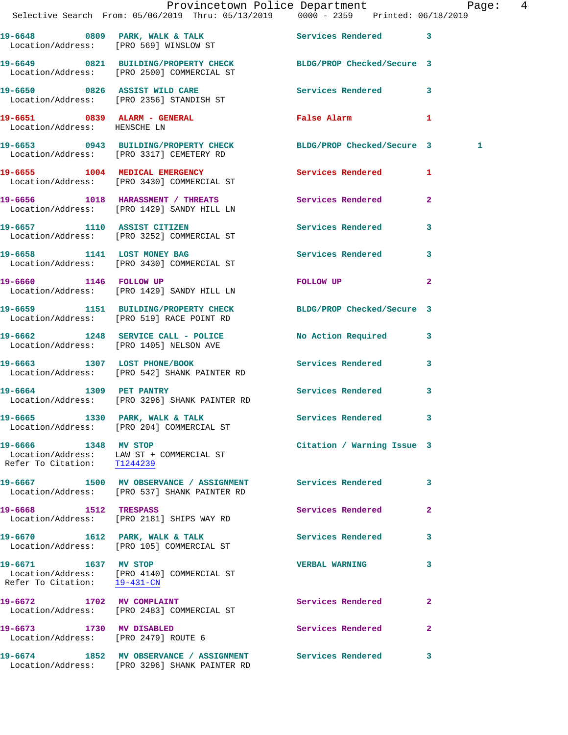|                                                                  | Provincetown Police Department Page: 4<br>Selective Search From: 05/06/2019 Thru: 05/13/2019   0000 - 2359   Printed: 06/18/2019 |                            |                |
|------------------------------------------------------------------|----------------------------------------------------------------------------------------------------------------------------------|----------------------------|----------------|
|                                                                  | 19-6648 0809 PARK, WALK & TALK Services Rendered 3<br>Location/Address: [PRO 569] WINSLOW ST                                     |                            |                |
|                                                                  | 19-6649 0821 BUILDING/PROPERTY CHECK BLDG/PROP Checked/Secure 3<br>Location/Address: [PRO 2500] COMMERCIAL ST                    |                            |                |
|                                                                  | 19-6650 0826 ASSIST WILD CARE<br>Location/Address: [PRO 2356] STANDISH ST                                                        | Services Rendered 3        |                |
| Location/Address: HENSCHE LN                                     | 19-6651 0839 ALARM - GENERAL                                                                                                     | False Alarm 1              |                |
|                                                                  | 19-6653 0943 BUILDING/PROPERTY CHECK BLDG/PROP Checked/Secure 3<br>Location/Address: [PRO 3317] CEMETERY RD                      |                            | -1             |
|                                                                  | 19-6655 1004 MEDICAL EMERGENCY<br>Location/Address: [PRO 3430] COMMERCIAL ST                                                     | Services Rendered 1        |                |
|                                                                  | 19-6656 1018 HARASSMENT / THREATS Services Rendered 2<br>Location/Address: [PRO 1429] SANDY HILL LN                              |                            |                |
|                                                                  | 19-6657 1110 ASSIST CITIZEN<br>Location/Address: [PRO 3252] COMMERCIAL ST                                                        | Services Rendered 3        |                |
|                                                                  | 19-6658 1141 LOST MONEY BAG<br>Location/Address: [PRO 3430] COMMERCIAL ST                                                        | Services Rendered 3        |                |
|                                                                  | 19-6660 1146 FOLLOW UP<br>Location/Address: [PRO 1429] SANDY HILL LN                                                             | FOLLOW UP NOTES            | $\overline{2}$ |
|                                                                  | 19-6659 1151 BUILDING/PROPERTY CHECK BLDG/PROP Checked/Secure 3<br>Location/Address: [PRO 519] RACE POINT RD                     |                            |                |
|                                                                  | 19-6662 1248 SERVICE CALL - POLICE<br>Location/Address: [PRO 1405] NELSON AVE                                                    | No Action Required 3       |                |
|                                                                  | 19-6663 1307 LOST PHONE/BOOK<br>Location/Address: [PRO 542] SHANK PAINTER RD                                                     | Services Rendered 3        |                |
|                                                                  | 19-6664 1309 PET PANTRY<br>Location/Address: [PRO 3296] SHANK PAINTER RD                                                         | Services Rendered 3        |                |
|                                                                  | 19-6665 1330 PARK, WALK & TALK<br>Location/Address: [PRO 204] COMMERCIAL ST                                                      | Services Rendered 3        |                |
| 19-6666 1348 MV STOP<br>Refer To Citation: T1244239              | Location/Address: LAW ST + COMMERCIAL ST                                                                                         | Citation / Warning Issue 3 |                |
|                                                                  | 19-6667 1500 MV OBSERVANCE / ASSIGNMENT Services Rendered 3<br>Location/Address: [PRO 537] SHANK PAINTER RD                      |                            |                |
|                                                                  | 19-6668 1512 TRESPASS<br>Location/Address: [PRO 2181] SHIPS WAY RD                                                               | Services Rendered          | $\mathbf{2}$   |
|                                                                  | 19-6670 1612 PARK, WALK & TALK<br>Location/Address: [PRO 105] COMMERCIAL ST                                                      | Services Rendered 3        |                |
| 19-6671 1637 MV STOP<br>Refer To Citation: 19-431-CN             | Location/Address: [PRO 4140] COMMERCIAL ST                                                                                       | <b>VERBAL WARNING</b>      | 3              |
| 19-6672 1702 MV COMPLAINT                                        | Location/Address: [PRO 2483] COMMERCIAL ST                                                                                       | Services Rendered          | $\mathbf{2}$   |
| 19-6673 1730 MV DISABLED<br>Location/Address: [PRO 2479] ROUTE 6 |                                                                                                                                  | Services Rendered          | $\mathbf{2}$   |
|                                                                  | 19-6674 1852 MV OBSERVANCE / ASSIGNMENT<br>Location/Address: [PRO 3296] SHANK PAINTER RD                                         | Services Rendered          | 3              |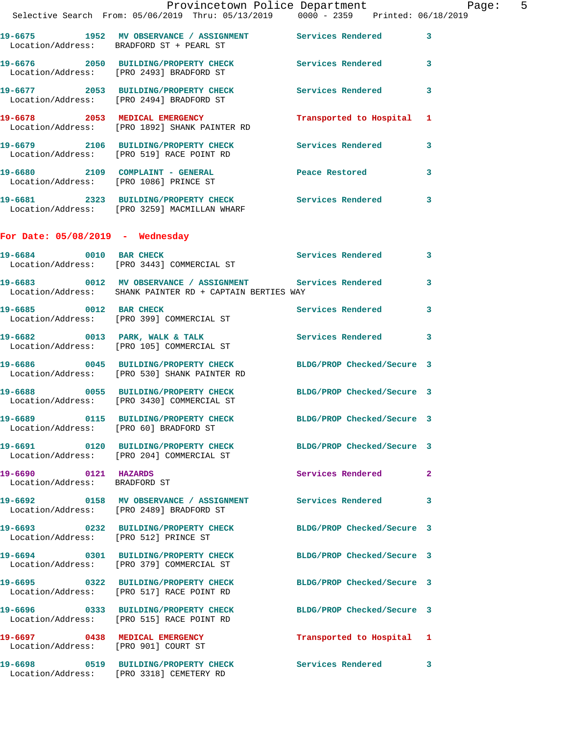|                                                       | Provincetown Police Department Page: 5<br>Selective Search From: 05/06/2019 Thru: 05/13/2019   0000 - 2359   Printed: 06/18/2019                 |                            |              |  |
|-------------------------------------------------------|--------------------------------------------------------------------------------------------------------------------------------------------------|----------------------------|--------------|--|
|                                                       | 19-6675 1952 MV OBSERVANCE / ASSIGNMENT Services Rendered 3                                                                                      |                            |              |  |
|                                                       | Location/Address: BRADFORD ST + PEARL ST<br>19-6676 2050 BUILDING/PROPERTY CHECK Services Rendered 3<br>Location/Address: [PRO 2493] BRADFORD ST |                            |              |  |
|                                                       | 19-6677 2053 BUILDING/PROPERTY CHECK Services Rendered 3<br>Location/Address: [PRO 2494] BRADFORD ST                                             |                            |              |  |
|                                                       | 19-6678 2053 MEDICAL EMERGENCY<br>Location/Address: [PRO 1892] SHANK PAINTER RD                                                                  | Transported to Hospital 1  |              |  |
|                                                       | 19-6679 2106 BUILDING/PROPERTY CHECK Services Rendered 3<br>Location/Address: [PRO 519] RACE POINT RD                                            |                            |              |  |
|                                                       | 19-6680 2109 COMPLAINT - GENERAL Peace Restored Eocation/Address: [PRO 1086] PRINCE ST                                                           |                            | $\mathbf{3}$ |  |
|                                                       | 19-6681 2323 BUILDING/PROPERTY CHECK Services Rendered 3<br>Location/Address: [PRO 3259] MACMILLAN WHARF                                         |                            |              |  |
| For Date: $05/08/2019$ - Wednesday                    |                                                                                                                                                  |                            |              |  |
|                                                       | 19-6684 0010 BAR CHECK Services Rendered 3<br>Location/Address: [PRO 3443] COMMERCIAL ST                                                         |                            |              |  |
|                                                       | 19-6683 0012 MV OBSERVANCE / ASSIGNMENT Services Rendered 3<br>Location/Address: SHANK PAINTER RD + CAPTAIN BERTIES WAY                          |                            |              |  |
|                                                       | 19-6685 0012 BAR CHECK<br>Location/Address: [PRO 399] COMMERCIAL ST                                                                              | Services Rendered 3        |              |  |
|                                                       | 19-6682 0013 PARK, WALK & TALK 3 Services Rendered 3<br>Location/Address: [PRO 105] COMMERCIAL ST                                                |                            |              |  |
|                                                       | 19-6686 0045 BUILDING/PROPERTY CHECK BLDG/PROP Checked/Secure 3<br>Location/Address: [PRO 530] SHANK PAINTER RD                                  |                            |              |  |
|                                                       | 19-6688 0055 BUILDING/PROPERTY CHECK BLDG/PROP Checked/Secure 3<br>Location/Address: [PRO 3430] COMMERCIAL ST                                    |                            |              |  |
| Location/Address: [PRO 60] BRADFORD ST                | 19-6689 0115 BUILDING/PROPERTY CHECK                                                                                                             | BLDG/PROP Checked/Secure 3 |              |  |
|                                                       | 19-6691 0120 BUILDING/PROPERTY CHECK BLDG/PROP Checked/Secure 3<br>Location/Address: [PRO 204] COMMERCIAL ST                                     |                            |              |  |
| 19-6690 0121 HAZARDS<br>Location/Address: BRADFORD ST |                                                                                                                                                  | Services Rendered 2        |              |  |
|                                                       | 19-6692 0158 MV OBSERVANCE / ASSIGNMENT Services Rendered 3<br>Location/Address: [PRO 2489] BRADFORD ST                                          |                            |              |  |
|                                                       | 19-6693 0232 BUILDING/PROPERTY CHECK BLDG/PROP Checked/Secure 3<br>Location/Address: [PRO 512] PRINCE ST                                         |                            |              |  |
|                                                       | 19-6694 0301 BUILDING/PROPERTY CHECK<br>Location/Address: [PRO 379] COMMERCIAL ST                                                                | BLDG/PROP Checked/Secure 3 |              |  |
|                                                       | 19-6695 0322 BUILDING/PROPERTY CHECK BLDG/PROP Checked/Secure 3<br>Location/Address: [PRO 517] RACE POINT RD                                     |                            |              |  |
|                                                       | 19-6696 0333 BUILDING/PROPERTY CHECK BLDG/PROP Checked/Secure 3<br>Location/Address: [PRO 515] RACE POINT RD                                     |                            |              |  |
|                                                       | 19-6697 0438 MEDICAL EMERGENCY<br>Location/Address: [PRO 901] COURT ST                                                                           | Transported to Hospital 1  |              |  |
|                                                       | 19-6698 0519 BUILDING/PROPERTY CHECK Services Rendered 3<br>Location/Address: [PRO 3318] CEMETERY RD                                             |                            |              |  |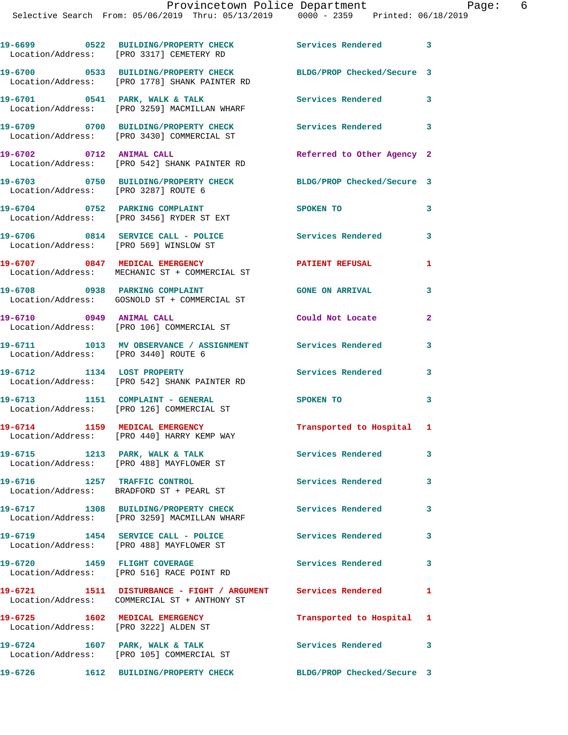|                                                                         | 19-6699 0522 BUILDING/PROPERTY CHECK<br>Location/Address: [PRO 3317] CEMETERY RD                                 | Services Rendered 3        |                            |
|-------------------------------------------------------------------------|------------------------------------------------------------------------------------------------------------------|----------------------------|----------------------------|
|                                                                         | 19-6700 0533 BUILDING/PROPERTY CHECK BLDG/PROP Checked/Secure 3<br>Location/Address: [PRO 1778] SHANK PAINTER RD |                            |                            |
|                                                                         | 19-6701 0541 PARK, WALK & TALK<br>Location/Address: [PRO 3259] MACMILLAN WHARF                                   | Services Rendered          | 3                          |
|                                                                         | 19-6709 0700 BUILDING/PROPERTY CHECK<br>Location/Address: [PRO 3430] COMMERCIAL ST                               | Services Rendered 3        |                            |
| 19-6702 0712 ANIMAL CALL                                                | Location/Address: [PRO 542] SHANK PAINTER RD                                                                     | Referred to Other Agency 2 |                            |
| Location/Address: [PRO 3287] ROUTE 6                                    | 19-6703 0750 BUILDING/PROPERTY CHECK BLDG/PROP Checked/Secure 3                                                  |                            |                            |
|                                                                         | 19-6704 0752 PARKING COMPLAINT<br>Location/Address: [PRO 3456] RYDER ST EXT                                      | SPOKEN TO                  | 3                          |
| Location/Address: [PRO 569] WINSLOW ST                                  | 19-6706 0814 SERVICE CALL - POLICE Services Rendered                                                             |                            | 3                          |
|                                                                         | 19-6707 0847 MEDICAL EMERGENCY<br>Location/Address: MECHANIC ST + COMMERCIAL ST                                  | <b>PATIENT REFUSAL</b>     | 1                          |
|                                                                         | 19-6708 0938 PARKING COMPLAINT<br>Location/Address: GOSNOLD ST + COMMERCIAL ST                                   | <b>GONE ON ARRIVAL</b>     | 3                          |
| 19-6710 0949 ANIMAL CALL                                                | Location/Address: [PRO 106] COMMERCIAL ST                                                                        | Could Not Locate           | $\mathbf{2}$               |
| Location/Address: [PRO 3440] ROUTE 6                                    | 19-6711 1013 MV OBSERVANCE / ASSIGNMENT Services Rendered                                                        |                            | 3                          |
| 19-6712 1134 LOST PROPERTY                                              | Location/Address: [PRO 542] SHANK PAINTER RD                                                                     | Services Rendered          | 3                          |
|                                                                         | 19-6713 1151 COMPLAINT - GENERAL<br>Location/Address: [PRO 126] COMMERCIAL ST                                    | SPOKEN TO                  | 3                          |
|                                                                         | 19-6714 1159 MEDICAL EMERGENCY<br>Location/Address: [PRO 440] HARRY KEMP WAY                                     | Transported to Hospital 1  |                            |
|                                                                         | 19-6715 1213 PARK, WALK & TALK<br>Location/Address: [PRO 488] MAYFLOWER ST                                       | Services Rendered          | 3                          |
| 19-6716 1257 TRAFFIC CONTROL                                            | Location/Address: BRADFORD ST + PEARL ST                                                                         | Services Rendered 3        |                            |
|                                                                         | 19-6717 1308 BUILDING/PROPERTY CHECK<br>Location/Address: [PRO 3259] MACMILLAN WHARF                             | Services Rendered          | 3                          |
|                                                                         | 19-6719 1454 SERVICE CALL - POLICE<br>Location/Address: [PRO 488] MAYFLOWER ST                                   | Services Rendered 3        |                            |
|                                                                         | 19-6720 1459 FLIGHT COVERAGE<br>Location/Address: [PRO 516] RACE POINT RD                                        | <b>Services Rendered</b>   | $\mathbf{3}$               |
|                                                                         | 19-6721 1511 DISTURBANCE - FIGHT / ARGUMENT Services Rendered<br>Location/Address: COMMERCIAL ST + ANTHONY ST    |                            | $\mathbf{1}$               |
| 19-6725 1602 MEDICAL EMERGENCY<br>Location/Address: [PRO 3222] ALDEN ST |                                                                                                                  | Transported to Hospital 1  |                            |
|                                                                         | 19-6724 1607 PARK, WALK & TALK<br>Location/Address: [PRO 105] COMMERCIAL ST                                      | Services Rendered          | $\overline{\phantom{a}}$ 3 |
| 19-6726                                                                 | 1612 BUILDING/PROPERTY CHECK                                                                                     | BLDG/PROP Checked/Secure 3 |                            |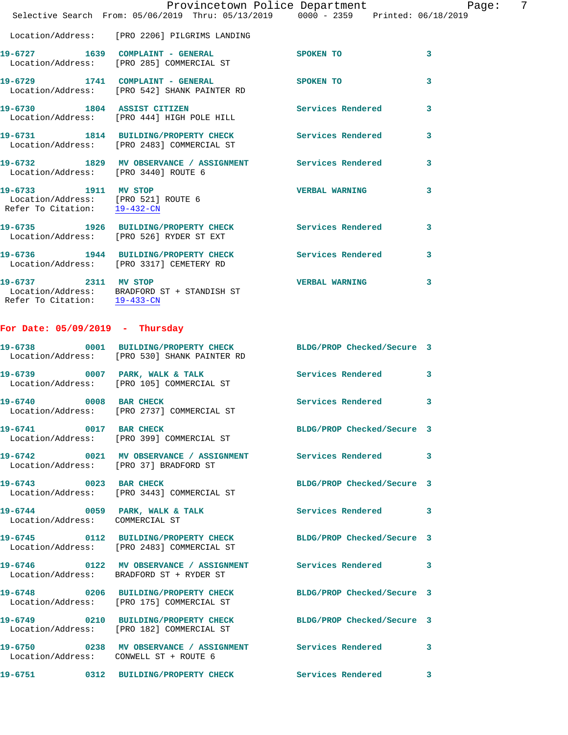|                                      | Provincetown Police Department Page: 7<br>Selective Search From: $05/06/2019$ Thru: $05/13/2019$ $0000 - 2359$ Printed: $06/18/2019$ |                            |              |
|--------------------------------------|--------------------------------------------------------------------------------------------------------------------------------------|----------------------------|--------------|
|                                      |                                                                                                                                      |                            |              |
|                                      | Location/Address: [PRO 2206] PILGRIMS LANDING                                                                                        |                            |              |
|                                      | 19-6727 1639 COMPLAINT - GENERAL SPOKEN TO<br>Location/Address: [PRO 285] COMMERCIAL ST                                              |                            | $\sim$ 3     |
|                                      | 19-6729 1741 COMPLAINT - GENERAL SPOKEN TO<br>Location/Address: [PRO 542] SHANK PAINTER RD                                           |                            | 3            |
|                                      | 19-6730 1804 ASSIST CITIZEN Services Rendered 3<br>Location/Address: [PRO 444] HIGH POLE HILL                                        |                            |              |
|                                      | 19-6731 1814 BUILDING/PROPERTY CHECK Services Rendered 3<br>Location/Address: [PRO 2483] COMMERCIAL ST                               |                            |              |
| Location/Address: [PRO 3440] ROUTE 6 | 19-6732 1829 MV OBSERVANCE / ASSIGNMENT Services Rendered 3                                                                          |                            |              |
|                                      | 19-6733 1911 MV STOP<br>Location/Address: [PRO 521] ROUTE 6<br>Refer To Citation: 19-432-CN                                          | VERBAL WARNING 3           |              |
|                                      | 19-6735 1926 BUILDING/PROPERTY CHECK Services Rendered<br>Location/Address: [PRO 526] RYDER ST EXT                                   |                            | 3            |
|                                      | 19-6736 1944 BUILDING/PROPERTY CHECK Services Rendered 3<br>Location/Address: [PRO 3317] CEMETERY RD                                 |                            |              |
|                                      | 19-6737 2311 MV STOP<br>Location/Address: BRADFORD ST + STANDISH ST<br>Refer To Citation: $\frac{19-433-CN}{2}$                      | <b>VERBAL WARNING</b>      | 3            |
| For Date: $05/09/2019$ - Thursday    |                                                                                                                                      |                            |              |
|                                      | 19-6738 0001 BUILDING/PROPERTY CHECK BLDG/PROP Checked/Secure 3<br>Location/Address: [PRO 530] SHANK PAINTER RD                      |                            |              |
|                                      | 19-6739 0007 PARK, WALK & TALK 3 Services Rendered 3<br>Location/Address: [PRO 105] COMMERCIAL ST                                    |                            |              |
|                                      | 19-6740 0008 BAR CHECK<br>Location/Address: [PRO 2737] COMMERCIAL ST                                                                 | Services Rendered          | $\mathbf{3}$ |
| 19-6741 0017 BAR CHECK               | Location/Address: [PRO 399] COMMERCIAL ST                                                                                            | BLDG/PROP Checked/Secure 3 |              |
|                                      | 19-6742 0021 MV OBSERVANCE / ASSIGNMENT Services Rendered 3<br>Location/Address: [PRO 37] BRADFORD ST                                |                            |              |
| 19-6743 0023 BAR CHECK               | Location/Address: [PRO 3443] COMMERCIAL ST                                                                                           | BLDG/PROP Checked/Secure 3 |              |
| Location/Address: COMMERCIAL ST      | 19-6744 0059 PARK, WALK & TALK                                                                                                       | Services Rendered 3        |              |
|                                      | 19-6745 0112 BUILDING/PROPERTY CHECK BLDG/PROP Checked/Secure 3<br>Location/Address: [PRO 2483] COMMERCIAL ST                        |                            |              |
|                                      | 19-6746 0122 MV OBSERVANCE / ASSIGNMENT Services Rendered 3<br>Location/Address: BRADFORD ST + RYDER ST                              |                            |              |
|                                      | 19-6748 0206 BUILDING/PROPERTY CHECK BLDG/PROP Checked/Secure 3<br>Location/Address: [PRO 175] COMMERCIAL ST                         |                            |              |
|                                      | 19-6749 0210 BUILDING/PROPERTY CHECK BLDG/PROP Checked/Secure 3<br>Location/Address: [PRO 182] COMMERCIAL ST                         |                            |              |

**19-6750 0238 MV OBSERVANCE / ASSIGNMENT Services Rendered 3**  Location/Address: CONWELL ST + ROUTE 6

**19-6751 0312 BUILDING/PROPERTY CHECK Services Rendered 3**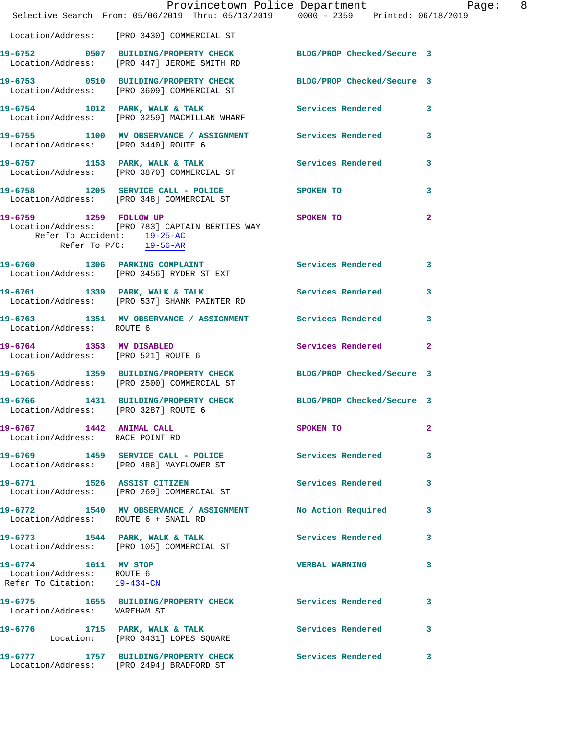|                                                                                   | Provincetown Police Department Page: 8<br>Selective Search From: 05/06/2019 Thru: 05/13/2019 0000 - 2359 Printed: 06/18/2019 |                       |              |
|-----------------------------------------------------------------------------------|------------------------------------------------------------------------------------------------------------------------------|-----------------------|--------------|
|                                                                                   | Location/Address: [PRO 3430] COMMERCIAL ST                                                                                   |                       |              |
|                                                                                   | 19-6752 0507 BUILDING/PROPERTY CHECK BLDG/PROP Checked/Secure 3<br>Location/Address: [PRO 447] JEROME SMITH RD               |                       |              |
|                                                                                   | 19-6753 0510 BUILDING/PROPERTY CHECK BLDG/PROP Checked/Secure 3<br>Location/Address: [PRO 3609] COMMERCIAL ST                |                       |              |
|                                                                                   | 19-6754 1012 PARK, WALK & TALK 1999 Services Rendered 3<br>Location/Address: [PRO 3259] MACMILLAN WHARF                      |                       |              |
|                                                                                   | 19-6755 1100 MV OBSERVANCE / ASSIGNMENT Services Rendered 3<br>Location/Address: [PRO 3440] ROUTE 6                          |                       |              |
|                                                                                   | 19-6757 1153 PARK, WALK & TALK (Services Rendered 3<br>Location/Address: [PRO 3870] COMMERCIAL ST                            |                       |              |
|                                                                                   | 19-6758 1205 SERVICE CALL - POLICE SPOKEN TO<br>  Location/Address: [PRO 348] COMMERCIAL ST                                  |                       | $\mathbf{3}$ |
| Refer To Accident: 19-25-AC<br>Refer To P/C: 19-56-AR                             | 19-6759 1259 FOLLOW UP<br>Location/Address: [PRO 783] CAPTAIN BERTIES WAY                                                    | SPOKEN TO             | $\mathbf{2}$ |
|                                                                                   | 19-6760 1306 PARKING COMPLAINT Services Rendered 3<br>Location/Address: [PRO 3456] RYDER ST EXT                              |                       |              |
|                                                                                   | 19-6761 1339 PARK, WALK & TALK SERVICES Rendered 3<br>Location/Address: [PRO 537] SHANK PAINTER RD                           |                       |              |
| Location/Address: ROUTE 6                                                         | 19-6763 1351 MV OBSERVANCE / ASSIGNMENT Services Rendered 3                                                                  |                       |              |
| 19-6764 1353 MV DISABLED<br>Location/Address: [PRO 521] ROUTE 6                   |                                                                                                                              | Services Rendered 2   |              |
|                                                                                   | 19-6765 1359 BUILDING/PROPERTY CHECK BLDG/PROP Checked/Secure 3<br>Location/Address: [PRO 2500] COMMERCIAL ST                |                       |              |
| Location/Address: [PRO 3287] ROUTE 6                                              | 19-6766 1431 BUILDING/PROPERTY CHECK BLDG/PROP Checked/Secure 3                                                              |                       |              |
| 19-6767 1442 ANIMAL CALL<br>Location/Address: RACE POINT RD                       |                                                                                                                              | SPOKEN TO             | $\mathbf{2}$ |
|                                                                                   | 19-6769 1459 SERVICE CALL - POLICE<br>Location/Address: [PRO 488] MAYFLOWER ST                                               | Services Rendered     | 3            |
|                                                                                   | 19-6771 1526 ASSIST CITIZEN<br>Location/Address: [PRO 269] COMMERCIAL ST                                                     | Services Rendered 3   |              |
| Location/Address: ROUTE 6 + SNAIL RD                                              | 19-6772 1540 MV OBSERVANCE / ASSIGNMENT No Action Required                                                                   |                       | $\mathbf{3}$ |
|                                                                                   | 19-6773 1544 PARK, WALK & TALK<br>Location/Address: [PRO 105] COMMERCIAL ST                                                  | Services Rendered 3   |              |
| 19-6774 1611 MV STOP<br>Location/Address: ROUTE 6<br>Refer To Citation: 19-434-CN |                                                                                                                              | <b>VERBAL WARNING</b> | 3            |
| Location/Address: WAREHAM ST                                                      | 19-6775 1655 BUILDING/PROPERTY CHECK Services Rendered                                                                       |                       | 3            |
|                                                                                   | 19-6776 1715 PARK, WALK & TALK<br>Location: [PRO 3431] LOPES SQUARE                                                          | Services Rendered 3   |              |
|                                                                                   | 19-6777 1757 BUILDING/PROPERTY CHECK Services Rendered<br>Location/Address: [PRO 2494] BRADFORD ST                           |                       | 3            |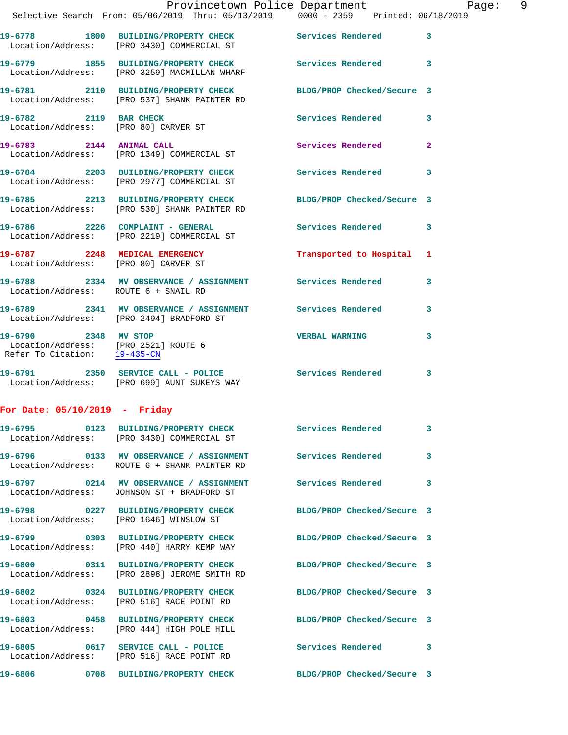|                                                                                                           | Provincetown Police Department<br>Selective Search From: 05/06/2019 Thru: 05/13/2019 0000 - 2359 Printed: 06/18/2019 |                       | 9<br>Page:   |
|-----------------------------------------------------------------------------------------------------------|----------------------------------------------------------------------------------------------------------------------|-----------------------|--------------|
|                                                                                                           | 19-6778 1800 BUILDING/PROPERTY CHECK Services Rendered 3<br>Location/Address: [PRO 3430] COMMERCIAL ST               |                       |              |
|                                                                                                           | 19-6779 1855 BUILDING/PROPERTY CHECK Services Rendered 3<br>Location/Address: [PRO 3259] MACMILLAN WHARF             |                       |              |
|                                                                                                           | 19-6781 2110 BUILDING/PROPERTY CHECK BLDG/PROP Checked/Secure 3<br>Location/Address: [PRO 537] SHANK PAINTER RD      |                       |              |
| 19-6782 2119 BAR CHECK<br>Location/Address: [PRO 80] CARVER ST                                            |                                                                                                                      | Services Rendered 3   |              |
|                                                                                                           | 19-6783 2144 ANIMAL CALL<br>Location/Address: [PRO 1349] COMMERCIAL ST                                               | Services Rendered     | $\mathbf{2}$ |
|                                                                                                           | 19-6784 2203 BUILDING/PROPERTY CHECK Services Rendered 3<br>Location/Address: [PRO 2977] COMMERCIAL ST               |                       |              |
|                                                                                                           | 19-6785 2213 BUILDING/PROPERTY CHECK BLDG/PROP Checked/Secure 3<br>Location/Address: [PRO 530] SHANK PAINTER RD      |                       |              |
|                                                                                                           | 19-6786 2226 COMPLAINT - GENERAL<br>Location/Address: [PRO 2219] COMMERCIAL ST                                       | Services Rendered 3   |              |
|                                                                                                           | 19-6787 2248 MEDICAL EMERGENCY Transported to Hospital 1 Location/Address: [PRO 80] CARVER ST                        |                       |              |
| Location/Address: ROUTE 6 + SNAIL RD                                                                      | 19-6788 2334 MV OBSERVANCE / ASSIGNMENT Services Rendered 3                                                          |                       |              |
|                                                                                                           | 19-6789 2341 MV OBSERVANCE / ASSIGNMENT Services Rendered<br>Location/Address: [PRO 2494] BRADFORD ST                |                       | 3            |
| 19-6790 2348 MV STOP<br>Location/Address: [PRO 2521] ROUTE 6<br>Refer To Citation: $\frac{19-435-CM}{29}$ |                                                                                                                      | <b>VERBAL WARNING</b> | 3            |
|                                                                                                           | 19-6791 2350 SERVICE CALL - POLICE Services Rendered 3<br>Location/Address: [PRO 699] AUNT SUKEYS WAY                |                       |              |
| For Date: $05/10/2019$ - Friday                                                                           |                                                                                                                      |                       |              |
|                                                                                                           | 19-6795 		 0123 BUILDING/PROPERTY CHECK Services Rendered 3                                                          |                       |              |

Location/Address: [PRO 3430] COMMERCIAL ST

**19-6797 0214 MV OBSERVANCE / ASSIGNMENT Services Rendered 3**  Location/Address: JOHNSON ST + BRADFORD ST

Location/Address: [PRO 1646] WINSLOW ST

Location/Address: [PRO 440] HARRY KEMP WAY

Location/Address: [PRO 2898] JEROME SMITH RD

Location/Address: ROUTE 6 + SHANK PAINTER RD

**19-6802 0324 BUILDING/PROPERTY CHECK BLDG/PROP Checked/Secure 3**  Location/Address: [PRO 516] RACE POINT RD

**19-6803 0458 BUILDING/PROPERTY CHECK BLDG/PROP Checked/Secure 3**  Location/Address: [PRO 444] HIGH POLE HILL

19-6805 0617 SERVICE CALL - POLICE 3 Services Rendered 3 Location/Address: [PRO 516] RACE POINT RD

19-6796 **0133 MV OBSERVANCE / ASSIGNMENT** Services Rendered 3

**19-6798 0227 BUILDING/PROPERTY CHECK BLDG/PROP Checked/Secure 3** 

**19-6799 0303 BUILDING/PROPERTY CHECK BLDG/PROP Checked/Secure 3** 

**19-6800 0311 BUILDING/PROPERTY CHECK BLDG/PROP Checked/Secure 3** 

**19-6806 0708 BUILDING/PROPERTY CHECK BLDG/PROP Checked/Secure 3**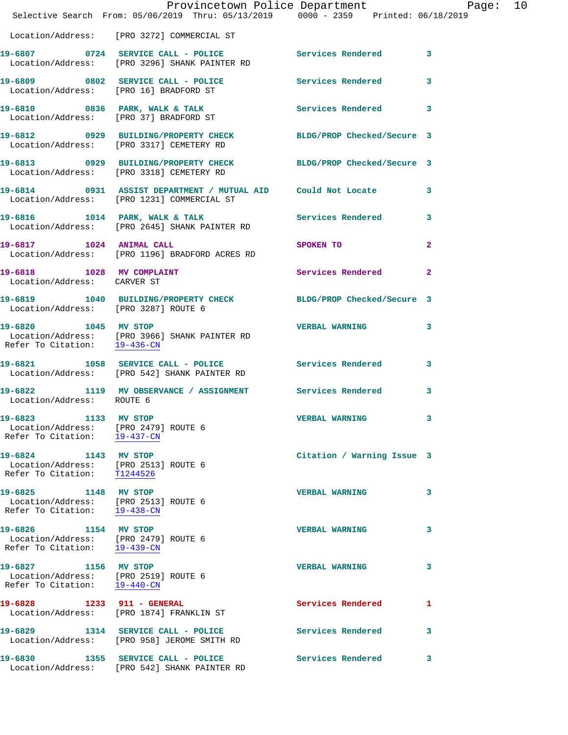|                                                                                              | Provincetown Police Department Page: 10<br>Selective Search From: 05/06/2019 Thru: 05/13/2019   0000 - 2359   Printed: 06/18/2019 |                            |              |
|----------------------------------------------------------------------------------------------|-----------------------------------------------------------------------------------------------------------------------------------|----------------------------|--------------|
|                                                                                              | Location/Address: [PRO 3272] COMMERCIAL ST                                                                                        |                            |              |
|                                                                                              | 19-6807 0724 SERVICE CALL - POLICE 3 Services Rendered 3<br>Location/Address: [PRO 3296] SHANK PAINTER RD                         |                            |              |
|                                                                                              | 19-6809 0802 SERVICE CALL - POLICE Services Rendered<br>Location/Address: [PRO 16] BRADFORD ST                                    |                            | 3            |
|                                                                                              | 19-6810 0836 PARK, WALK & TALK 6 Services Rendered 3<br>Location/Address: [PRO 37] BRADFORD ST                                    |                            |              |
|                                                                                              | 19-6812 0929 BUILDING/PROPERTY CHECK BLDG/PROP Checked/Secure 3<br>Location/Address: [PRO 3317] CEMETERY RD                       |                            |              |
|                                                                                              | 19-6813 0929 BUILDING/PROPERTY CHECK BLDG/PROP Checked/Secure 3<br>Location/Address: [PRO 3318] CEMETERY RD                       |                            |              |
|                                                                                              | 19-6814      0931   ASSIST DEPARTMENT / MUTUAL AID    Could Not Locate       3<br>Location/Address:   [PRO 1231]COMMERCIAL ST     |                            |              |
|                                                                                              | 19-6816 1014 PARK, WALK & TALK<br>Location/Address: [PRO 2645] SHANK PAINTER RD                                                   | Services Rendered          | 3            |
|                                                                                              | 19-6817 1024 ANIMAL CALL<br>Location/Address: [PRO 1196] BRADFORD ACRES RD                                                        | SPOKEN TO                  | $\mathbf{2}$ |
| 19-6818 1028 MV COMPLAINT<br>Location/Address: CARVER ST                                     |                                                                                                                                   | Services Rendered          | $\mathbf{2}$ |
| Location/Address: [PRO 3287] ROUTE 6                                                         | 19-6819 1040 BUILDING/PROPERTY CHECK BLDG/PROP Checked/Secure 3                                                                   |                            |              |
| Refer To Citation: 19-436-CN                                                                 | 19-6820 1045 MV STOP<br>Location/Address: [PRO 3966] SHANK PAINTER RD                                                             | <b>VERBAL WARNING</b>      | 3            |
|                                                                                              | 19-6821 1058 SERVICE CALL - POLICE 3 Services Rendered 3<br>Location/Address: [PRO 542] SHANK PAINTER RD                          |                            |              |
| Location/Address: ROUTE 6                                                                    | 19-6822 1119 MV OBSERVANCE / ASSIGNMENT Services Rendered                                                                         |                            | 3            |
| 19-6823 1133 MV STOP<br>Location/Address: [PRO 2479] ROUTE 6<br>Refer To Citation: 19-437-CN |                                                                                                                                   | <b>VERBAL WARNING</b>      |              |
| 19-6824 1143 MV STOP<br>Location/Address: [PRO 2513] ROUTE 6<br>Refer To Citation: T1244526  |                                                                                                                                   | Citation / Warning Issue 3 |              |
| 19-6825 1148 MV STOP<br>Location/Address: [PRO 2513] ROUTE 6<br>Refer To Citation: 19-438-CN |                                                                                                                                   | <b>VERBAL WARNING</b>      | 3            |
| 19-6826 1154 MV STOP<br>Location/Address: [PRO 2479] ROUTE 6<br>Refer To Citation: 19-439-CN |                                                                                                                                   | <b>VERBAL WARNING</b>      | 3            |
| 19-6827 1156 MV STOP<br>Location/Address: [PRO 2519] ROUTE 6<br>Refer To Citation: 19-440-CN |                                                                                                                                   | <b>VERBAL WARNING</b>      | 3            |
|                                                                                              | 19-6828 1233 911 - GENERAL<br>Location/Address: [PRO 1874] FRANKLIN ST                                                            | Services Rendered          | 1            |
|                                                                                              | 19-6829 1314 SERVICE CALL - POLICE<br>Location/Address: [PRO 958] JEROME SMITH RD                                                 | Services Rendered          | 3            |
|                                                                                              | 19-6830 1355 SERVICE CALL - POLICE<br>Location/Address: [PRO 542] SHANK PAINTER RD                                                | Services Rendered          | 3            |
|                                                                                              |                                                                                                                                   |                            |              |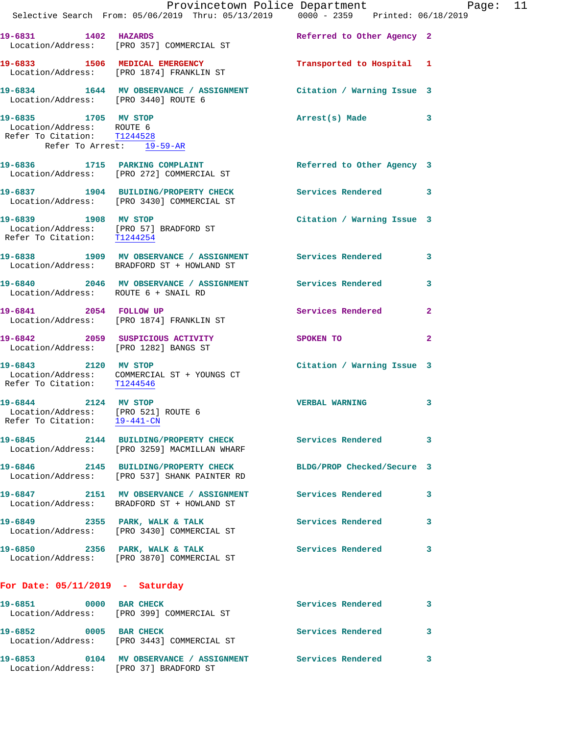|                                                                                                               | Provincetown Police Department Page: 11                                                                         |                            |              |
|---------------------------------------------------------------------------------------------------------------|-----------------------------------------------------------------------------------------------------------------|----------------------------|--------------|
|                                                                                                               | Selective Search From: 05/06/2019 Thru: 05/13/2019   0000 - 2359   Printed: 06/18/2019                          |                            |              |
|                                                                                                               | 19-6831 1402 HAZARDS<br>Location/Address: [PRO 357] COMMERCIAL ST                                               | Referred to Other Agency 2 |              |
|                                                                                                               | 19-6833 1506 MEDICAL EMERGENCY<br>Location/Address: [PRO 1874] FRANKLIN ST                                      | Transported to Hospital 1  |              |
| Location/Address: [PRO 3440] ROUTE 6                                                                          | 19-6834 1644 MV OBSERVANCE / ASSIGNMENT Citation / Warning Issue 3                                              |                            |              |
| 19-6835 1705 MV STOP<br>Location/Address: ROUTE 6<br>Refer To Citation: T1244528<br>Refer To Arrest: 19-59-AR |                                                                                                                 | Arrest(s) Made 3           |              |
|                                                                                                               | 19-6836 1715 PARKING COMPLAINT<br>Location/Address: [PRO 272] COMMERCIAL ST                                     | Referred to Other Agency 3 |              |
|                                                                                                               | 19-6837 1904 BUILDING/PROPERTY CHECK Services Rendered 3<br>Location/Address: [PRO 3430] COMMERCIAL ST          |                            |              |
| 19-6839 1908 MV STOP<br>Refer To Citation: T1244254                                                           | Location/Address: [PRO 57] BRADFORD ST                                                                          | Citation / Warning Issue 3 |              |
|                                                                                                               | 19-6838 1909 MV OBSERVANCE / ASSIGNMENT Services Rendered 3<br>Location/Address: BRADFORD ST + HOWLAND ST       |                            |              |
| Location/Address: ROUTE 6 + SNAIL RD                                                                          | 19-6840 2046 MV OBSERVANCE / ASSIGNMENT Services Rendered 3                                                     |                            |              |
|                                                                                                               | 19-6841 2054 FOLLOW UP<br>Location/Address: [PRO 1874] FRANKLIN ST                                              | Services Rendered          | $\mathbf{2}$ |
|                                                                                                               | 19-6842 2059 SUSPICIOUS ACTIVITY<br>Location/Address: [PRO 1282] BANGS ST                                       | SPOKEN TO                  | $\mathbf{2}$ |
| Refer To Citation: T1244546                                                                                   | 19-6843 2120 MV STOP<br>Location/Address: COMMERCIAL ST + YOUNGS CT                                             | Citation / Warning Issue 3 |              |
| 19-6844 2124 MV STOP<br>Refer To Citation: 19-441-CN                                                          | Location/Address: [PRO 521] ROUTE 6                                                                             | <b>VERBAL WARNING</b>      | 3            |
|                                                                                                               | 19-6845 2144 BUILDING/PROPERTY CHECK Services Rendered 3<br>Location/Address: [PRO 3259] MACMILLAN WHARF        |                            |              |
|                                                                                                               | 19-6846 2145 BUILDING/PROPERTY CHECK BLDG/PROP Checked/Secure 3<br>Location/Address: [PRO 537] SHANK PAINTER RD |                            |              |
|                                                                                                               | 19-6847 2151 MV OBSERVANCE / ASSIGNMENT Services Rendered<br>Location/Address: BRADFORD ST + HOWLAND ST         |                            | 3            |
|                                                                                                               | 19-6849 2355 PARK, WALK & TALK<br>Location/Address: [PRO 3430] COMMERCIAL ST                                    | Services Rendered          | 3            |
|                                                                                                               | 19-6850 2356 PARK, WALK & TALK<br>Location/Address: [PRO 3870] COMMERCIAL ST                                    | Services Rendered 3        |              |
| For Date: $05/11/2019$ - Saturday                                                                             |                                                                                                                 |                            |              |
|                                                                                                               | 19-6851 0000 BAR CHECK<br>Location/Address: [PRO 399] COMMERCIAL ST                                             | <b>Services Rendered</b>   | 3            |
| 19-6852 0005 BAR CHECK                                                                                        | Location/Address: [PRO 3443] COMMERCIAL ST                                                                      | Services Rendered          | 3            |
|                                                                                                               | 19-6853 0104 MV OBSERVANCE / ASSIGNMENT Services Rendered 3                                                     |                            |              |

Location/Address: [PRO 37] BRADFORD ST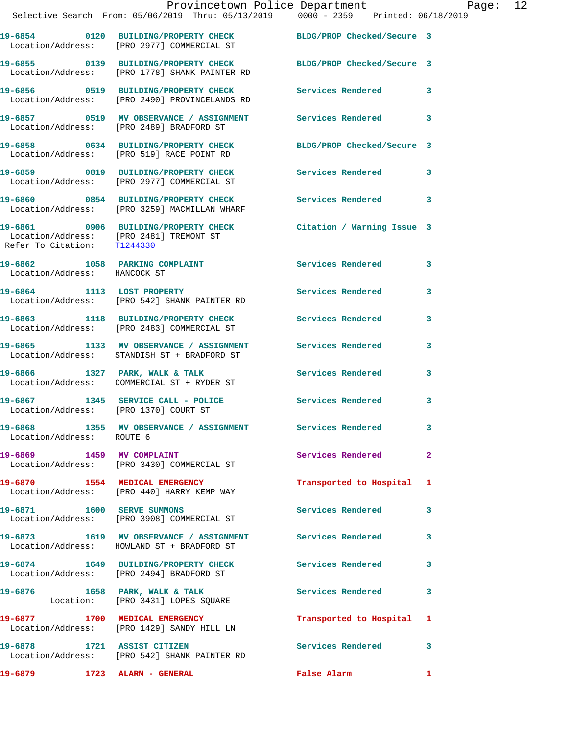|                                       | Provincetown Police Department Page: 12<br>Selective Search From: 05/06/2019 Thru: 05/13/2019   0000 - 2359   Printed: 06/18/2019                |                           |              |  |
|---------------------------------------|--------------------------------------------------------------------------------------------------------------------------------------------------|---------------------------|--------------|--|
|                                       | 19-6854 0120 BUILDING/PROPERTY CHECK BLDG/PROP Checked/Secure 3<br>Location/Address: [PRO 2977] COMMERCIAL ST                                    |                           |              |  |
|                                       | 19-6855 0139 BUILDING/PROPERTY CHECK BLDG/PROP Checked/Secure 3<br>Location/Address: [PRO 1778] SHANK PAINTER RD                                 |                           |              |  |
|                                       | 19-6856 0519 BUILDING/PROPERTY CHECK Services Rendered 3<br>Location/Address: [PRO 2490] PROVINCELANDS RD                                        |                           |              |  |
|                                       | 19-6857 0519 MV OBSERVANCE / ASSIGNMENT Services Rendered 3<br>Location/Address: [PRO 2489] BRADFORD ST                                          |                           |              |  |
|                                       | 19-6858 0634 BUILDING/PROPERTY CHECK BLDG/PROP Checked/Secure 3<br>Location/Address: [PRO 519] RACE POINT RD                                     |                           |              |  |
|                                       | 19-6859 0819 BUILDING/PROPERTY CHECK Services Rendered 3<br>Location/Address: [PRO 2977] COMMERCIAL ST                                           |                           |              |  |
|                                       | 19-6860 0854 BUILDING/PROPERTY CHECK Services Rendered 3<br>Location/Address: [PRO 3259] MACMILLAN WHARF                                         |                           |              |  |
|                                       | 19-6861 0906 BUILDING/PROPERTY CHECK Citation / Warning Issue 3<br>Location/Address: [PRO 2481] TREMONT ST<br>Refer To Citation: <u>T1244330</u> |                           |              |  |
| Location/Address: HANCOCK ST          | 19-6862 1058 PARKING COMPLAINT Services Rendered 3                                                                                               |                           |              |  |
|                                       | 19-6864 1113 LOST PROPERTY<br>Location/Address: [PRO 542] SHANK PAINTER RD                                                                       | Services Rendered         | 3            |  |
|                                       | 19-6863 1118 BUILDING/PROPERTY CHECK Services Rendered 3<br>Location/Address: [PRO 2483] COMMERCIAL ST                                           |                           |              |  |
|                                       | 19-6865 1133 MV OBSERVANCE / ASSIGNMENT Services Rendered<br>Location/Address: STANDISH ST + BRADFORD ST                                         |                           | 3            |  |
|                                       | 19-6866 1327 PARK, WALK & TALK 1999 Services Rendered 3<br>Location/Address: COMMERCIAL ST + RYDER ST                                            |                           |              |  |
| Location/Address: [PRO 1370] COURT ST | 19-6867 1345 SERVICE CALL - POLICE Services Rendered                                                                                             |                           | 3            |  |
| Location/Address: ROUTE 6             | 19-6868 1355 MV OBSERVANCE / ASSIGNMENT Services Rendered                                                                                        |                           | 3            |  |
|                                       | 19-6869 1459 MV COMPLAINT<br>Location/Address: [PRO 3430] COMMERCIAL ST                                                                          | Services Rendered         | $\mathbf{2}$ |  |
|                                       | 19-6870 1554 MEDICAL EMERGENCY<br>Location/Address: [PRO 440] HARRY KEMP WAY                                                                     | Transported to Hospital 1 |              |  |
|                                       | 19-6871 1600 SERVE SUMMONS<br>Location/Address: [PRO 3908] COMMERCIAL ST                                                                         | Services Rendered         | 3            |  |
|                                       | 19-6873 1619 MV OBSERVANCE / ASSIGNMENT Services Rendered 3<br>Location/Address: HOWLAND ST + BRADFORD ST                                        |                           |              |  |
|                                       | 19-6874 1649 BUILDING/PROPERTY CHECK Services Rendered<br>Location/Address: [PRO 2494] BRADFORD ST                                               |                           | 3            |  |
|                                       | 19-6876 1658 PARK, WALK & TALK<br>Location: [PRO 3431] LOPES SQUARE                                                                              | Services Rendered 3       |              |  |
|                                       | 19-6877 1700 MEDICAL EMERGENCY<br>Location/Address: [PRO 1429] SANDY HILL LN                                                                     | Transported to Hospital 1 |              |  |
| 19-6878 1721 ASSIST CITIZEN           | Location/Address: [PRO 542] SHANK PAINTER RD                                                                                                     | Services Rendered 3       |              |  |

**19-6879 1723 ALARM - GENERAL False Alarm 1**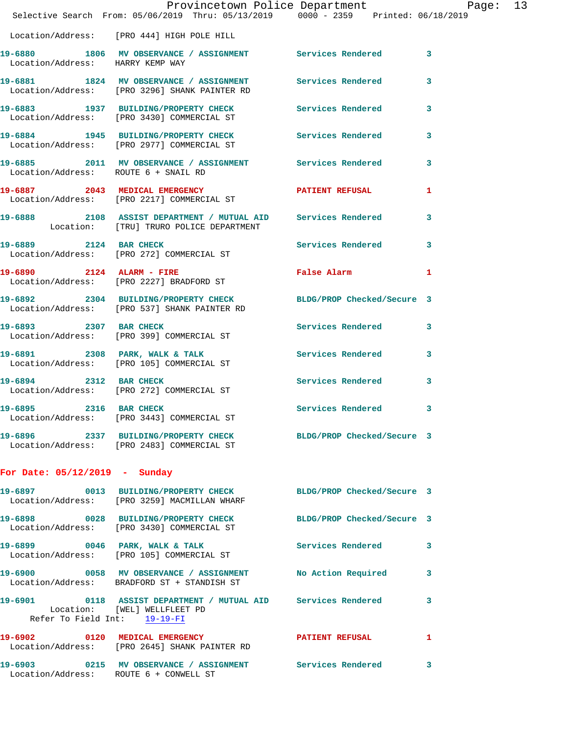|                                        | Provincetown Police Department Page: 13<br>Selective Search From: 05/06/2019 Thru: 05/13/2019   0000 - 2359   Printed: 06/18/2019 |                     |   |
|----------------------------------------|-----------------------------------------------------------------------------------------------------------------------------------|---------------------|---|
|                                        | Location/Address: [PRO 444] HIGH POLE HILL                                                                                        |                     |   |
| Location/Address: HARRY KEMP WAY       | 19-6880 1806 MV OBSERVANCE / ASSIGNMENT Services Rendered 3                                                                       |                     |   |
|                                        | 19-6881 1824 MV OBSERVANCE / ASSIGNMENT Services Rendered<br>Location/Address: [PRO 3296] SHANK PAINTER RD                        |                     | 3 |
|                                        | 19-6883 1937 BUILDING/PROPERTY CHECK Services Rendered 3<br>Location/Address: [PRO 3430] COMMERCIAL ST                            |                     |   |
|                                        | 19-6884 1945 BUILDING/PROPERTY CHECK Services Rendered 3<br>Location/Address: [PRO 2977] COMMERCIAL ST                            |                     |   |
| Location/Address: ROUTE 6 + SNAIL RD   | 19-6885 2011 MV OBSERVANCE / ASSIGNMENT Services Rendered 3                                                                       |                     |   |
|                                        | 19-6887 2043 MEDICAL EMERGENCY PATIENT REFUSAL Location/Address: [PRO 2217] COMMERCIAL ST                                         |                     | 1 |
|                                        | 19-6888 2108 ASSIST DEPARTMENT / MUTUAL AID Services Rendered<br>Location: [TRU] TRURO POLICE DEPARTMENT                          |                     | 3 |
|                                        | 19-6889 2124 BAR CHECK<br>Location/Address: [PRO 272] COMMERCIAL ST                                                               | Services Rendered 3 |   |
|                                        | 19-6890 2124 ALARM - FIRE<br>Location/Address: [PRO 2227] BRADFORD ST                                                             | False Alarm         | 1 |
|                                        | 19-6892 2304 BUILDING/PROPERTY CHECK BLDG/PROP Checked/Secure 3<br>Location/Address: [PRO 537] SHANK PAINTER RD                   |                     |   |
|                                        | 19-6893 2307 BAR CHECK<br>Location/Address: [PRO 399] COMMERCIAL ST                                                               | Services Rendered 3 |   |
|                                        | 19-6891 2308 PARK, WALK & TALK 3 Services Rendered 3<br>Location/Address: [PRO 105] COMMERCIAL ST                                 |                     |   |
| 19-6894 2312 BAR CHECK                 | Location/Address: [PRO 272] COMMERCIAL ST                                                                                         | Services Rendered   | 3 |
| 2316 BAR CHECK<br>19-6895              | Location/Address: [PRO 3443] COMMERCIAL ST                                                                                        | Services Rendered 3 |   |
|                                        | 19-6896 2337 BUILDING/PROPERTY CHECK BLDG/PROP Checked/Secure 3<br>Location/Address: [PRO 2483] COMMERCIAL ST                     |                     |   |
| For Date: $05/12/2019$ - Sunday        |                                                                                                                                   |                     |   |
|                                        | 19-6897 0013 BUILDING/PROPERTY CHECK BLDG/PROP Checked/Secure 3<br>Location/Address: [PRO 3259] MACMILLAN WHARF                   |                     |   |
|                                        | 19-6898 0028 BUILDING/PROPERTY CHECK BLDG/PROP Checked/Secure 3<br>Location/Address: [PRO 3430] COMMERCIAL ST                     |                     |   |
|                                        | 19-6899 0046 PARK, WALK & TALK 1999 Services Rendered<br>Location/Address: [PRO 105] COMMERCIAL ST                                |                     | 3 |
|                                        | 19-6900 0058 MV OBSERVANCE / ASSIGNMENT No Action Required 3<br>Location/Address: BRADFORD ST + STANDISH ST                       |                     |   |
| Refer To Field Int: 19-19-FI           | 19-6901 0118 ASSIST DEPARTMENT / MUTUAL AID Services Rendered<br>Location: [WEL] WELLFLEET PD                                     |                     | 3 |
|                                        | 19-6902 0120 MEDICAL EMERGENCY PATIENT REFUSAL<br>Location/Address: [PRO 2645] SHANK PAINTER RD                                   |                     | 1 |
| Location/Address: ROUTE 6 + CONWELL ST | 19-6903 0215 MV OBSERVANCE / ASSIGNMENT Services Rendered                                                                         |                     | 3 |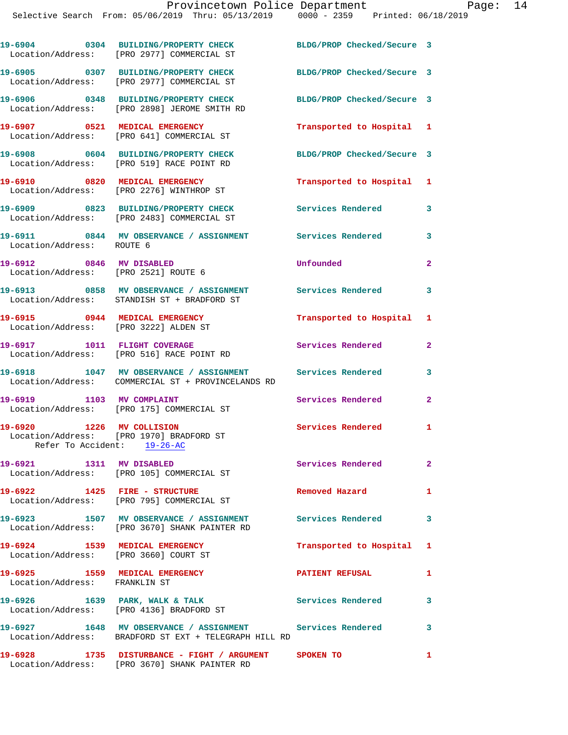|                               | 19-6904 0304 BUILDING/PROPERTY CHECK<br>Location/Address: [PRO 2977] COMMERCIAL ST                                 | BLDG/PROP Checked/Secure 3 |                         |
|-------------------------------|--------------------------------------------------------------------------------------------------------------------|----------------------------|-------------------------|
|                               | 19-6905 0307 BUILDING/PROPERTY CHECK<br>Location/Address: [PRO 2977] COMMERCIAL ST                                 | BLDG/PROP Checked/Secure 3 |                         |
|                               | 19-6906 0348 BUILDING/PROPERTY CHECK<br>Location/Address: [PRO 2898] JEROME SMITH RD                               | BLDG/PROP Checked/Secure 3 |                         |
|                               | 19-6907 0521 MEDICAL EMERGENCY<br>Location/Address: [PRO 641] COMMERCIAL ST                                        | Transported to Hospital 1  |                         |
|                               | 19-6908 0604 BUILDING/PROPERTY CHECK<br>Location/Address: [PRO 519] RACE POINT RD                                  | BLDG/PROP Checked/Secure 3 |                         |
|                               | 19-6910 0820 MEDICAL EMERGENCY<br>Location/Address: [PRO 2276] WINTHROP ST                                         | Transported to Hospital 1  |                         |
|                               | 19-6909 0823 BUILDING/PROPERTY CHECK<br>Location/Address: [PRO 2483] COMMERCIAL ST                                 | Services Rendered          | 3                       |
| Location/Address: ROUTE 6     | 19-6911 0844 MV OBSERVANCE / ASSIGNMENT Services Rendered                                                          |                            | 3                       |
|                               | 19-6912 0846 MV DISABLED<br>Location/Address: [PRO 2521] ROUTE 6                                                   | Unfounded                  | $\mathbf{2}$            |
|                               | 19-6913 0858 MV OBSERVANCE / ASSIGNMENT<br>Location/Address: STANDISH ST + BRADFORD ST                             | Services Rendered          | $\overline{\mathbf{3}}$ |
|                               | 19-6915 0944 MEDICAL EMERGENCY<br>Location/Address: [PRO 3222] ALDEN ST                                            | Transported to Hospital 1  |                         |
|                               | 19-6917 1011 FLIGHT COVERAGE<br>Location/Address: [PRO 516] RACE POINT RD                                          | Services Rendered          | $\overline{2}$          |
|                               | 19-6918 1047 MV OBSERVANCE / ASSIGNMENT Services Rendered<br>Location/Address: COMMERCIAL ST + PROVINCELANDS RD    |                            | 3                       |
| 19-6919 1103 MV COMPLAINT     | Location/Address: [PRO 175] COMMERCIAL ST                                                                          | Services Rendered          | $\mathbf{2}$            |
| 19-6920 1226 MV COLLISION     | Location/Address: [PRO 1970] BRADFORD ST<br>Refer To Accident: 19-26-AC                                            | Services Rendered 1        |                         |
| 19-6921                       | 1311 MV DISABLED<br>Location/Address: [PRO 105] COMMERCIAL ST                                                      | <b>Services Rendered</b>   | $\mathbf{2}^-$          |
|                               | 19-6922 1425 FIRE - STRUCTURE<br>Location/Address: [PRO 795] COMMERCIAL ST                                         | Removed Hazard             | 1                       |
|                               | 19-6923 1507 MV OBSERVANCE / ASSIGNMENT Services Rendered<br>Location/Address: [PRO 3670] SHANK PAINTER RD         |                            | $\overline{\mathbf{3}}$ |
|                               | 19-6924 1539 MEDICAL EMERGENCY<br>Location/Address: [PRO 3660] COURT ST                                            | Transported to Hospital 1  |                         |
| Location/Address: FRANKLIN ST | 19-6925 1559 MEDICAL EMERGENCY                                                                                     | <b>PATIENT REFUSAL</b>     | 1                       |
|                               | 19-6926 1639 PARK, WALK & TALK<br>Location/Address: [PRO 4136] BRADFORD ST                                         | <b>Services Rendered</b>   | 3                       |
|                               | 19-6927 1648 MV OBSERVANCE / ASSIGNMENT Services Rendered<br>Location/Address: BRADFORD ST EXT + TELEGRAPH HILL RD |                            | 3                       |
| 19-6928                       | 1735 DISTURBANCE - FIGHT / ARGUMENT SPOKEN TO                                                                      |                            | $\mathbf{1}$            |

Location/Address: [PRO 3670] SHANK PAINTER RD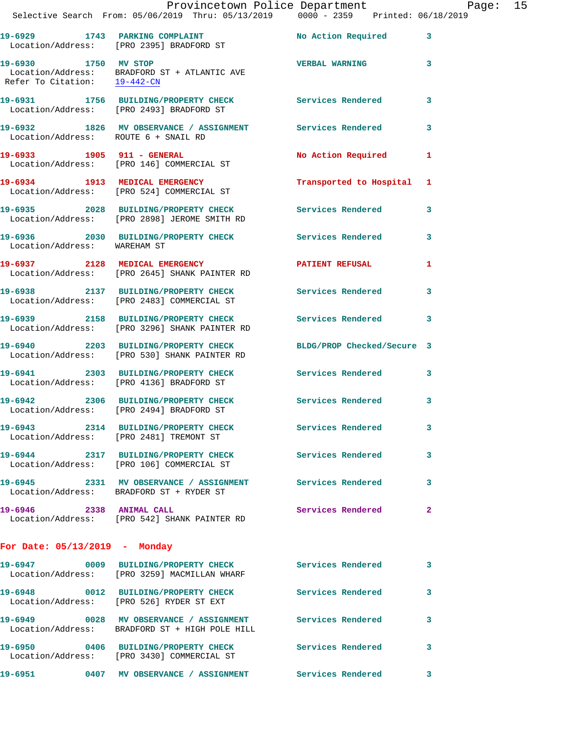|                                      | Provincetown Police Department Page: 15<br>Selective Search From: 05/06/2019 Thru: 05/13/2019                0000 - 2359   Printed: 06/18/2019 |                           |              |
|--------------------------------------|------------------------------------------------------------------------------------------------------------------------------------------------|---------------------------|--------------|
|                                      | 19-6929 1743 PARKING COMPLAINT No Action Required 3<br>Location/Address: [PRO 2395] BRADFORD ST                                                |                           |              |
| 19-6930 1750 MV STOP                 | $\begin{tabular}{ll} Location/Address: & \tt BRADFORD ST + ATLANTIC AVE \\ Refer To Citation: & \underline{19-442-CN} \end{tabular}$           | <b>VERBAL WARNING</b>     | 3            |
|                                      | 19-6931 1756 BUILDING/PROPERTY CHECK Services Rendered<br>Location/Address: [PRO 2493] BRADFORD ST                                             |                           | 3            |
| Location/Address: ROUTE 6 + SNAIL RD | 19-6932 1826 MV OBSERVANCE / ASSIGNMENT Services Rendered 3                                                                                    |                           |              |
|                                      | 19-6933 1905 911 - GENERAL<br>Location/Address: [PRO 146] COMMERCIAL ST                                                                        | No Action Required 1      |              |
|                                      | 19-6934 1913 MEDICAL EMERGENCY<br>Location/Address: [PRO 524] COMMERCIAL ST                                                                    | Transported to Hospital 1 |              |
|                                      | 19-6935 2028 BUILDING/PROPERTY CHECK Services Rendered 3<br>Location/Address: [PRO 2898] JEROME SMITH RD                                       |                           |              |
| Location/Address: WAREHAM ST         | 19-6936 2030 BUILDING/PROPERTY CHECK Services Rendered                                                                                         |                           | 3            |
|                                      | 19-6937 2128 MEDICAL EMERGENCY<br>Location/Address: [PRO 2645] SHANK PAINTER RD                                                                | PATIENT REFUSAL           | 1            |
|                                      | 19-6938 2137 BUILDING/PROPERTY CHECK Services Rendered<br>Location/Address: [PRO 2483] COMMERCIAL ST                                           |                           | 3            |
|                                      | 19-6939 2158 BUILDING/PROPERTY CHECK Services Rendered 3<br>Location/Address: [PRO 3296] SHANK PAINTER RD                                      |                           |              |
|                                      | 19-6940 2203 BUILDING/PROPERTY CHECK BLDG/PROP Checked/Secure 3<br>Location/Address: [PRO 530] SHANK PAINTER RD                                |                           |              |
|                                      | 19-6941 2303 BUILDING/PROPERTY CHECK Services Rendered 3<br>Location/Address: [PRO 4136] BRADFORD ST                                           |                           |              |
|                                      | 19-6942 2306 BUILDING/PROPERTY CHECK Services Rendered<br>Location/Address: [PRO 2494] BRADFORD ST                                             |                           | 3            |
|                                      | 19-6943 2314 BUILDING/PROPERTY CHECK Services Rendered<br>Location/Address: [PRO 2481] TREMONT ST                                              |                           | 3            |
|                                      | 19-6944 2317 BUILDING/PROPERTY CHECK Services Rendered<br>Location/Address: [PRO 106] COMMERCIAL ST                                            |                           | 3            |
|                                      | Location/Address: BRADFORD ST + RYDER ST                                                                                                       |                           | 3            |
| 19-6946 2338 ANIMAL CALL             | Location/Address: [PRO 542] SHANK PAINTER RD                                                                                                   | Services Rendered         | $\mathbf{2}$ |
| For Date: $05/13/2019$ - Monday      |                                                                                                                                                |                           |              |
|                                      | Location/Address: [PRO 3259] MACMILLAN WHARF                                                                                                   |                           | 3            |
|                                      | 19-6948 0012 BUILDING/PROPERTY CHECK Services Rendered<br>Location/Address: [PRO 526] RYDER ST EXT                                             |                           | 3            |
|                                      | 19-6949 		 0028 MV OBSERVANCE / ASSIGNMENT Services Rendered<br>Location/Address: BRADFORD ST + HIGH POLE HILL                                 |                           | 3            |
|                                      | 19-6950 0406 BUILDING/PROPERTY CHECK Services Rendered<br>Location/Address: [PRO 3430] COMMERCIAL ST                                           |                           | $\mathbf{3}$ |
|                                      | 19-6951       0407   MV OBSERVANCE / ASSIGNMENT       Services Rendered                                                                        |                           | 3            |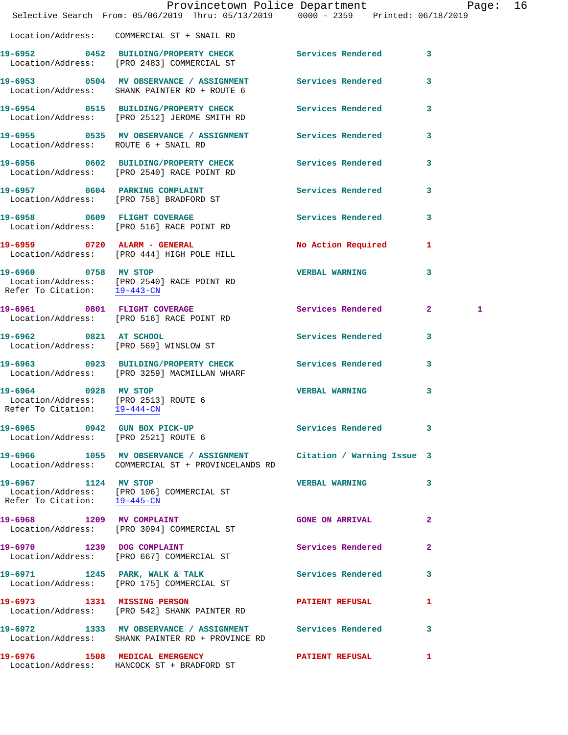|                                                                                              | Provincetown Police Department Page:<br>Selective Search From: 05/06/2019 Thru: 05/13/2019   0000 - 2359   Printed: 06/18/2019 |                          | 16           |
|----------------------------------------------------------------------------------------------|--------------------------------------------------------------------------------------------------------------------------------|--------------------------|--------------|
|                                                                                              | Location/Address: COMMERCIAL ST + SNAIL RD                                                                                     |                          |              |
|                                                                                              | 19-6952 0452 BUILDING/PROPERTY CHECK Services Rendered 3<br>Location/Address: [PRO 2483] COMMERCIAL ST                         |                          |              |
|                                                                                              | 19-6953 0504 MV OBSERVANCE / ASSIGNMENT Services Rendered<br>Location/Address: SHANK PAINTER RD + ROUTE 6                      |                          | 3            |
|                                                                                              | 19-6954 0515 BUILDING/PROPERTY CHECK Services Rendered 3<br>Location/Address: [PRO 2512] JEROME SMITH RD                       |                          |              |
| Location/Address: ROUTE 6 + SNAIL RD                                                         | 19-6955 		 0535 MV OBSERVANCE / ASSIGNMENT Services Rendered                                                                   |                          | 3            |
|                                                                                              | 19-6956 0602 BUILDING/PROPERTY CHECK Services Rendered 3<br>Location/Address: [PRO 2540] RACE POINT RD                         |                          |              |
|                                                                                              | 19-6957 0604 PARKING COMPLAINT<br>Location/Address: [PRO 758] BRADFORD ST                                                      | Services Rendered 3      |              |
|                                                                                              | 19-6958 0609 FLIGHT COVERAGE<br>Location/Address: [PRO 516] RACE POINT RD                                                      | <b>Services Rendered</b> | 3            |
|                                                                                              | 19-6959 0720 ALARM - GENERAL<br>Location/Address: [PRO 444] HIGH POLE HILL                                                     | No Action Required 1     |              |
|                                                                                              | 19-6960 0758 MV STOP<br>Location/Address: [PRO 2540] RACE POINT RD<br>Refer To Citation: $\frac{19-443-CN}{}$                  | <b>VERBAL WARNING</b>    | 3            |
|                                                                                              | 19-6961 0801 FLIGHT COVERAGE<br>Location/Address: [PRO 516] RACE POINT RD                                                      | Services Rendered 2      | 1            |
|                                                                                              | 19-6962 0821 AT SCHOOL<br>Location/Address: [PRO 569] WINSLOW ST                                                               | Services Rendered        | 3            |
|                                                                                              | 19-6963 0923 BUILDING/PROPERTY CHECK Services Rendered 3<br>Location/Address: [PRO 3259] MACMILLAN WHARF                       |                          |              |
| 19-6964 0928 MV STOP<br>Location/Address: [PRO 2513] ROUTE 6<br>Refer To Citation: 19-444-CN |                                                                                                                                | <b>VERBAL WARNING</b>    | 3            |
|                                                                                              | 19-6965 0942 GUN BOX PICK-UP<br>Location/Address: [PRO 2521] ROUTE 6                                                           | Services Rendered 3      |              |
|                                                                                              | 19-6966 1055 MV OBSERVANCE / ASSIGNMENT Citation / Warning Issue 3<br>Location/Address: COMMERCIAL ST + PROVINCELANDS RD       |                          |              |
| 19-6967 1124 MV STOP<br>Refer To Citation: 19-445-CN                                         | Location/Address: [PRO 106] COMMERCIAL ST                                                                                      | VERBAL WARNING 3         |              |
|                                                                                              | 19-6968 1209 MV COMPLAINT<br>Location/Address: [PRO 3094] COMMERCIAL ST                                                        | <b>GONE ON ARRIVAL</b>   | 2            |
| 19-6970 1239 DOG COMPLAINT                                                                   | Location/Address: [PRO 667] COMMERCIAL ST                                                                                      | Services Rendered        | $\mathbf{2}$ |
|                                                                                              | 19-6971 1245 PARK, WALK & TALK<br>  Location/Address: [PRO 175] COMMERCIAL ST                                                  | Services Rendered        | 3            |
|                                                                                              | 19-6973 1331 MISSING PERSON<br>Location/Address: [PRO 542] SHANK PAINTER RD                                                    | <b>PATIENT REFUSAL</b>   | 1            |
|                                                                                              | 19-6972 1333 MV OBSERVANCE / ASSIGNMENT Services Rendered 3<br>Location/Address: SHANK PAINTER RD + PROVINCE RD                |                          |              |
|                                                                                              | 19-6976 1508 MEDICAL EMERGENCY<br>Location/Address: HANCOCK ST + BRADFORD ST                                                   | PATIENT REFUSAL          | 1            |